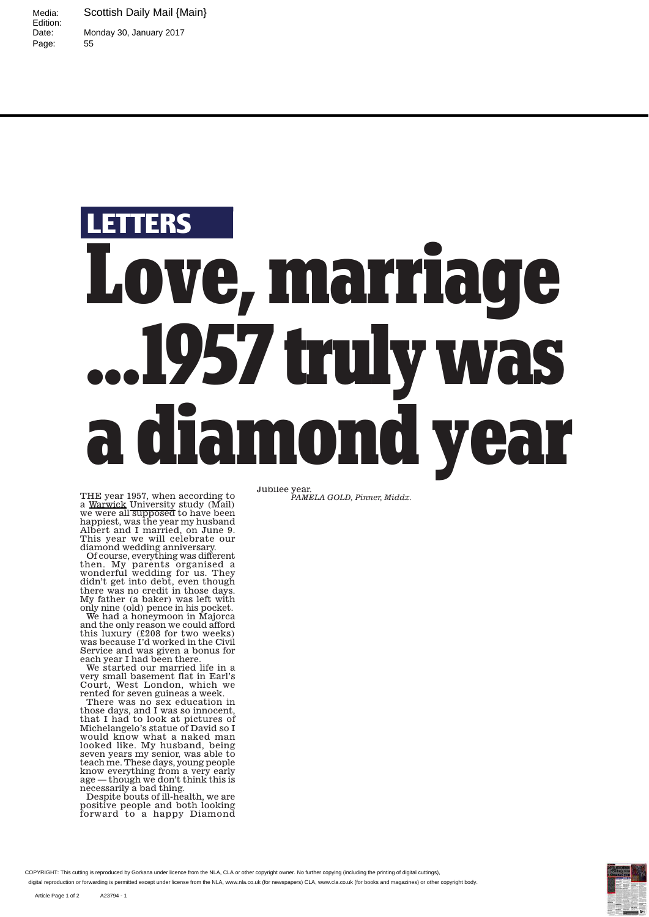Media: Scottish Daily Mail {Main} Monday 30, January 2017<br>55

Edition:<br>Date:

Page:

## **TERS Love, marriage . . . 1957 truly was a diamond year**

THE year 1957, when according to<br>a <u>Warwick</u> University study (Mail)<br>we were all supposed to have been happiest, was the year my husband Albert and I married, on June 9. This year we will celebrate our diamond wedding anniversary.

Of course, everything was different then. My parents organised a wonderful wedding for us. They didn't get into debt, even though there was no credit in those days. My father (a baker) was left with only nine (old) pence in his pocket.

We had a honeymoon in Majorca and the only reason we could afford this luxury (£208 for two weeks) was because I'd worked in the Civil Service and was given a bonus for each year I had been there

We started our married life in a very small basement flat in Earl's Court, West London, which we rented for seven guineas a week.

There was no sex education in those days, and I was so innocent, that I had to look at pictures of Michelangelo's statue of David so I would know what a naked man looked like. My husband, being seven years my senior, was able to teach me. These days, young people know everything from a very early age — though we don't think this is necessarily a bad thing.

Despite bouts of ill-health, we are positive people and both looking forward to a happy Diamond

Jubilee year. *PAMELA GOLD, Pinner, Middx.*